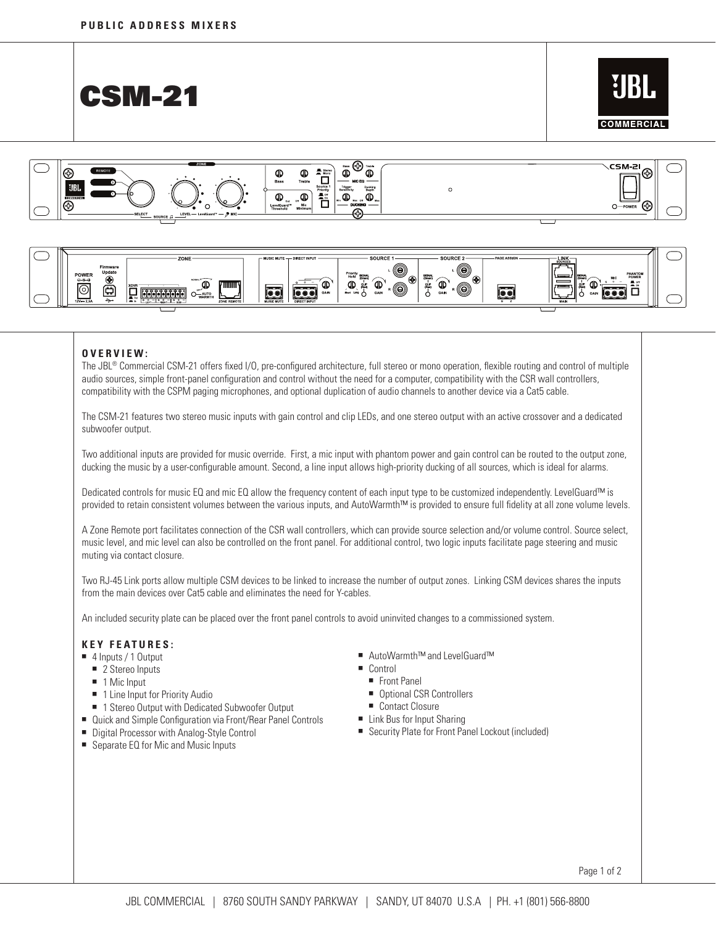







## **O V ER V IE W :**

The JBL® Commercial CSM-21 offers fixed I/O, pre-configured architecture, full stereo or mono operation, flexible routing and control of multiple audio sources, simple front-panel configuration and control without the need for a computer, compatibility with the CSR wall controllers, compatibility with the CSPM paging microphones, and optional duplication of audio channels to another device via a Cat5 cable.

The CSM-21 features two stereo music inputs with gain control and clip LEDs, and one stereo output with an active crossover and a dedicated subwoofer output.

Two additional inputs are provided for music override. First, a mic input with phantom power and gain control can be routed to the output zone, ducking the music by a user-configurable amount. Second, a line input allows high-priority ducking of all sources, which is ideal for alarms.

Dedicated controls for music EQ and mic EQ allow the frequency content of each input type to be customized independently. LevelGuard™ is provided to retain consistent volumes between the various inputs, and AutoWarmth™ is provided to ensure full fidelity at all zone volume levels.

A Zone Remote port facilitates connection of the CSR wall controllers, which can provide source selection and/or volume control. Source select, music level, and mic level can also be controlled on the front panel. For additional control, two logic inputs facilitate page steering and music muting via contact closure.

Two RJ-45 Link ports allow multiple CSM devices to be linked to increase the number of output zones. Linking CSM devices shares the inputs from the main devices over Cat5 cable and eliminates the need for Y-cables.

An included security plate can be placed over the front panel controls to avoid uninvited changes to a commissioned system.

## **Key Fe atures:**

- 4 Inputs / 1 Output
	- 2 Stereo Inputs
	- 1 Mic Input
	- 1 Line Input for Priority Audio
	- 1 Stereo Output with Dedicated Subwoofer Output
- Quick and Simple Configuration via Front/Rear Panel Controls
- Digital Processor with Analog-Style Control
- Separate EQ for Mic and Music Inputs
- AutoWarmth™ and LevelGuard™
- Control
- Front Panel
- Optional CSR Controllers
- Contact Closure
- Link Bus for Input Sharing
- Security Plate for Front Panel Lockout (included)

Page 1 of 2